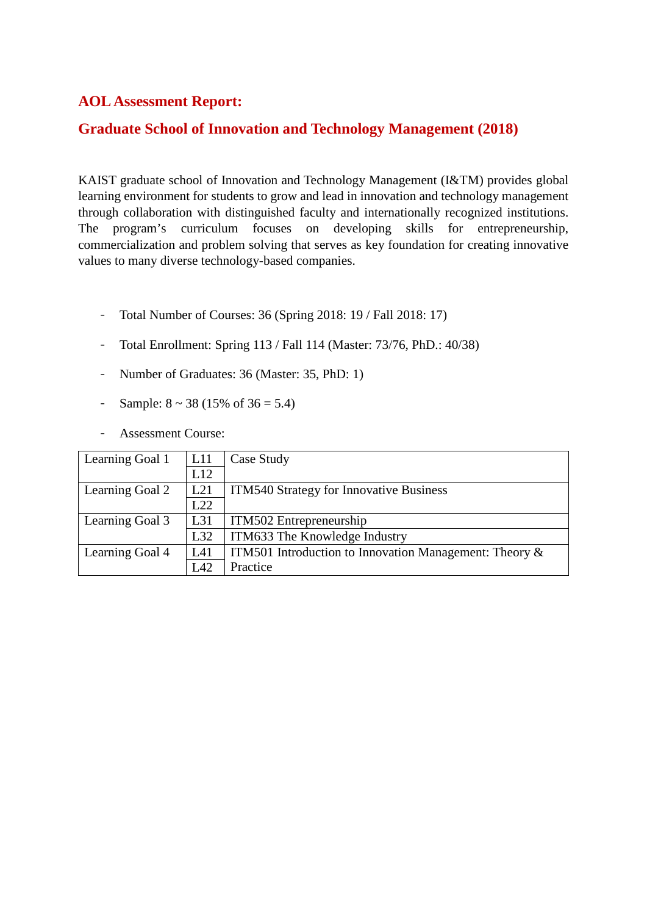## **AOL Assessment Report:**

## **Graduate School of Innovation and Technology Management (2018)**

KAIST graduate school of Innovation and Technology Management (I&TM) provides global learning environment for students to grow and lead in innovation and technology management through collaboration with distinguished faculty and internationally recognized institutions. The program's curriculum focuses on developing skills for entrepreneurship, commercialization and problem solving that serves as key foundation for creating innovative values to many diverse technology-based companies.

- Total Number of Courses: 36 (Spring 2018: 19 / Fall 2018: 17)
- Total Enrollment: Spring 113 / Fall 114 (Master: 73/76, PhD.: 40/38)
- Number of Graduates: 36 (Master: 35, PhD: 1)
- Sample:  $8 \sim 38 (15\% \text{ of } 36 = 5.4)$
- Assessment Course:

| Learning Goal 1 | L11 | Case Study                                                |
|-----------------|-----|-----------------------------------------------------------|
|                 | L12 |                                                           |
| Learning Goal 2 | L21 | <b>ITM540 Strategy for Innovative Business</b>            |
|                 | L22 |                                                           |
| Learning Goal 3 | L31 | ITM502 Entrepreneurship                                   |
|                 | L32 | ITM633 The Knowledge Industry                             |
| Learning Goal 4 | L41 | ITM501 Introduction to Innovation Management: Theory $\&$ |
|                 | L42 | Practice                                                  |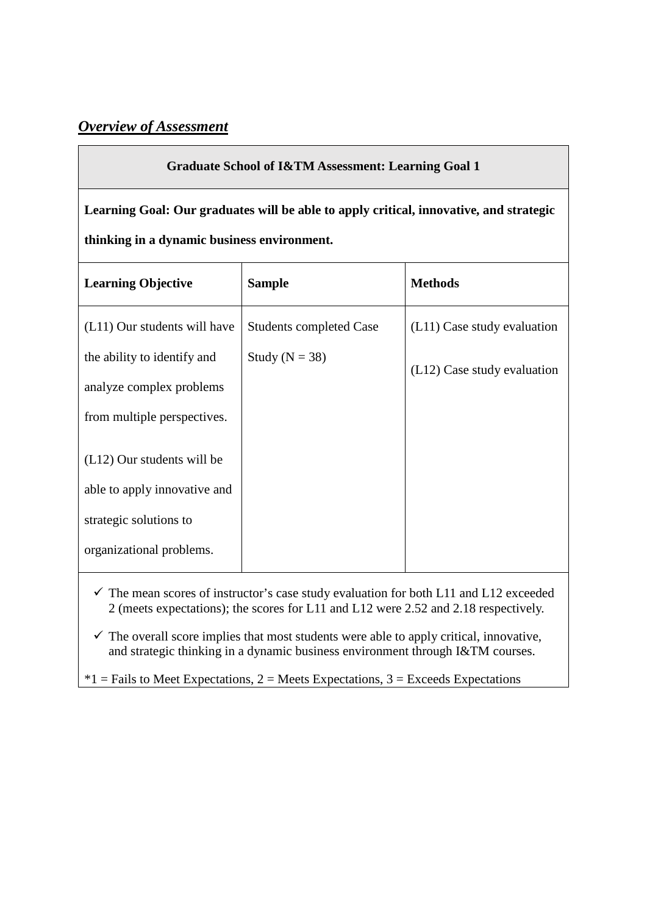## *Overview of Assessment*

## **Graduate School of I&TM Assessment: Learning Goal 1**

**Learning Goal: Our graduates will be able to apply critical, innovative, and strategic thinking in a dynamic business environment.**

| <b>Learning Objective</b>                               | <b>Sample</b>                  | <b>Methods</b>              |
|---------------------------------------------------------|--------------------------------|-----------------------------|
| (L11) Our students will have                            | <b>Students completed Case</b> | (L11) Case study evaluation |
| the ability to identify and<br>analyze complex problems | Study ( $N = 38$ )             | (L12) Case study evaluation |
| from multiple perspectives.                             |                                |                             |
| $(L12)$ Our students will be                            |                                |                             |
| able to apply innovative and                            |                                |                             |
| strategic solutions to                                  |                                |                             |
| organizational problems.                                |                                |                             |

 $\checkmark$  The mean scores of instructor's case study evaluation for both L11 and L12 exceeded 2 (meets expectations); the scores for L11 and L12 were 2.52 and 2.18 respectively.

 $\checkmark$  The overall score implies that most students were able to apply critical, innovative, and strategic thinking in a dynamic business environment through I&TM courses.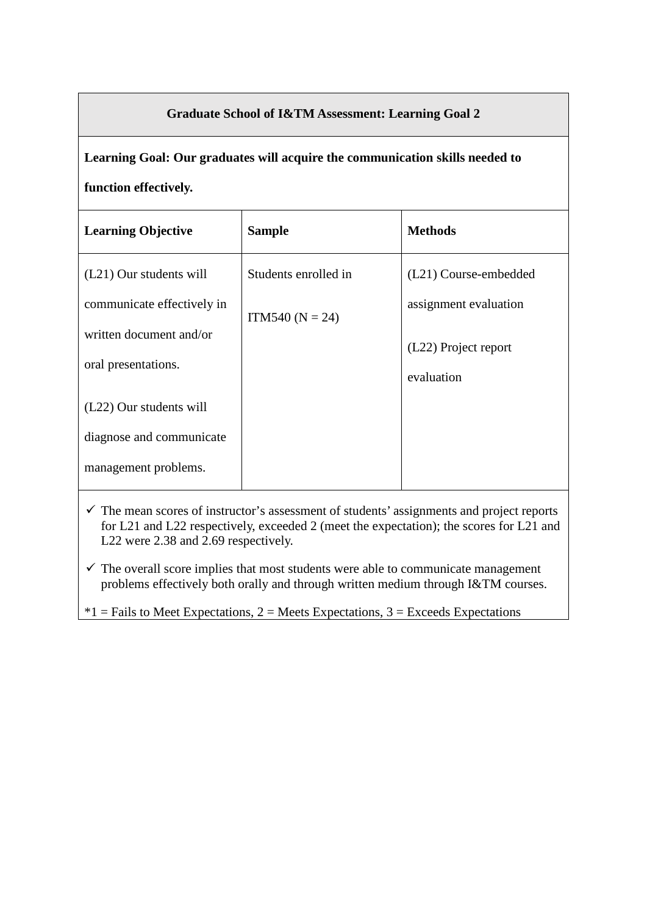## **Graduate School of I&TM Assessment: Learning Goal 2**

**Learning Goal: Our graduates will acquire the communication skills needed to function effectively.**

| <b>Learning Objective</b>  | <b>Sample</b>        | <b>Methods</b>        |
|----------------------------|----------------------|-----------------------|
| (L21) Our students will    | Students enrolled in | (L21) Course-embedded |
| communicate effectively in | ITM540 ( $N = 24$ )  | assignment evaluation |
| written document and/or    |                      | (L22) Project report  |
| oral presentations.        |                      | evaluation            |
| (L22) Our students will    |                      |                       |
| diagnose and communicate   |                      |                       |
| management problems.       |                      |                       |
|                            |                      |                       |

- $\checkmark$  The mean scores of instructor's assessment of students' assignments and project reports for L21 and L22 respectively, exceeded 2 (meet the expectation); the scores for L21 and L22 were 2.38 and 2.69 respectively.
- $\checkmark$  The overall score implies that most students were able to communicate management problems effectively both orally and through written medium through I&TM courses.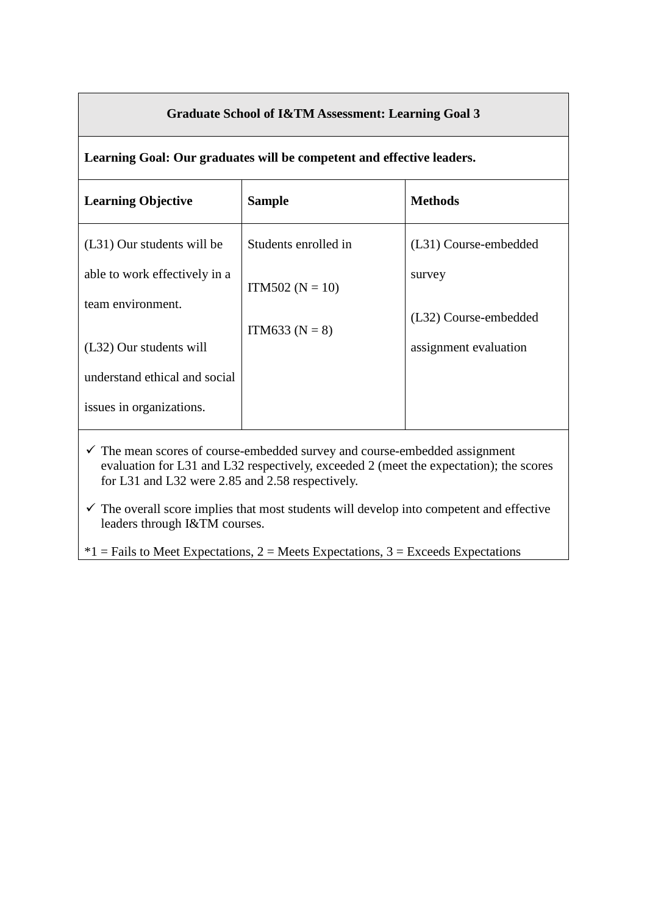## **Graduate School of I&TM Assessment: Learning Goal 3**

**Learning Goal: Our graduates will be competent and effective leaders.**

| <b>Learning Objective</b>     | <b>Sample</b>        | <b>Methods</b>        |
|-------------------------------|----------------------|-----------------------|
| (L31) Our students will be    | Students enrolled in | (L31) Course-embedded |
| able to work effectively in a | ITM502 ( $N = 10$ )  | survey                |
| team environment.             | ITM633 ( $N = 8$ )   | (L32) Course-embedded |
| (L32) Our students will       |                      | assignment evaluation |
| understand ethical and social |                      |                       |
| issues in organizations.      |                      |                       |

 $\checkmark$  The mean scores of course-embedded survey and course-embedded assignment evaluation for L31 and L32 respectively, exceeded 2 (meet the expectation); the scores for L31 and L32 were 2.85 and 2.58 respectively.

 $\checkmark$  The overall score implies that most students will develop into competent and effective leaders through I&TM courses.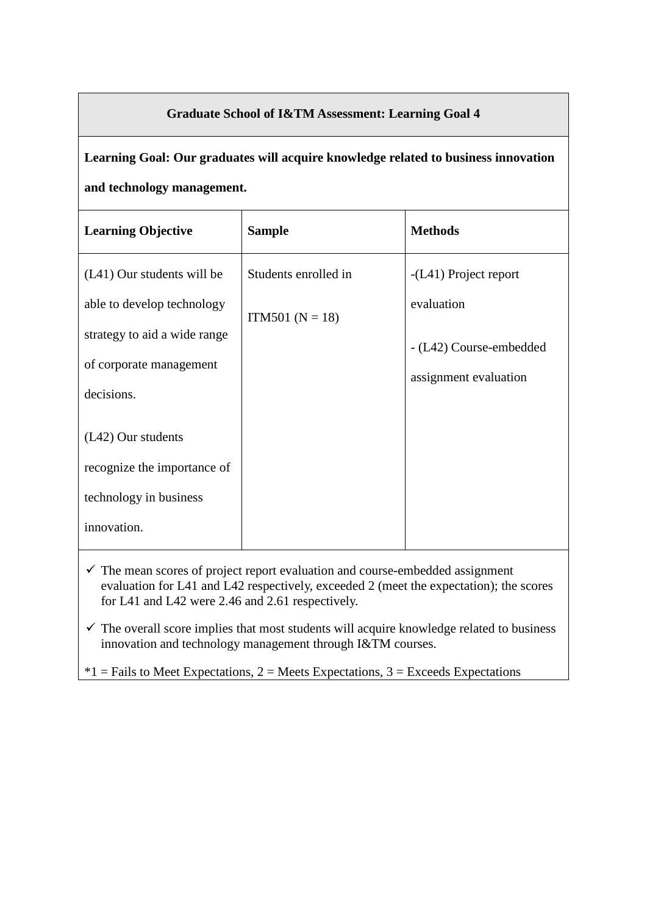## **Graduate School of I&TM Assessment: Learning Goal 4**

# **Learning Goal: Our graduates will acquire knowledge related to business innovation and technology management.**

| <b>Learning Objective</b>    | <b>Sample</b>        | <b>Methods</b>          |
|------------------------------|----------------------|-------------------------|
| (L41) Our students will be   | Students enrolled in | $-L41$ ) Project report |
| able to develop technology   | $ITM501 (N = 18)$    | evaluation              |
| strategy to aid a wide range |                      | - (L42) Course-embedded |
| of corporate management      |                      | assignment evaluation   |
| decisions.                   |                      |                         |
| (L42) Our students           |                      |                         |
| recognize the importance of  |                      |                         |
| technology in business       |                      |                         |
| innovation.                  |                      |                         |
|                              |                      |                         |

- $\checkmark$  The mean scores of project report evaluation and course-embedded assignment evaluation for L41 and L42 respectively, exceeded 2 (meet the expectation); the scores for L41 and L42 were 2.46 and 2.61 respectively.
- $\checkmark$  The overall score implies that most students will acquire knowledge related to business innovation and technology management through I&TM courses.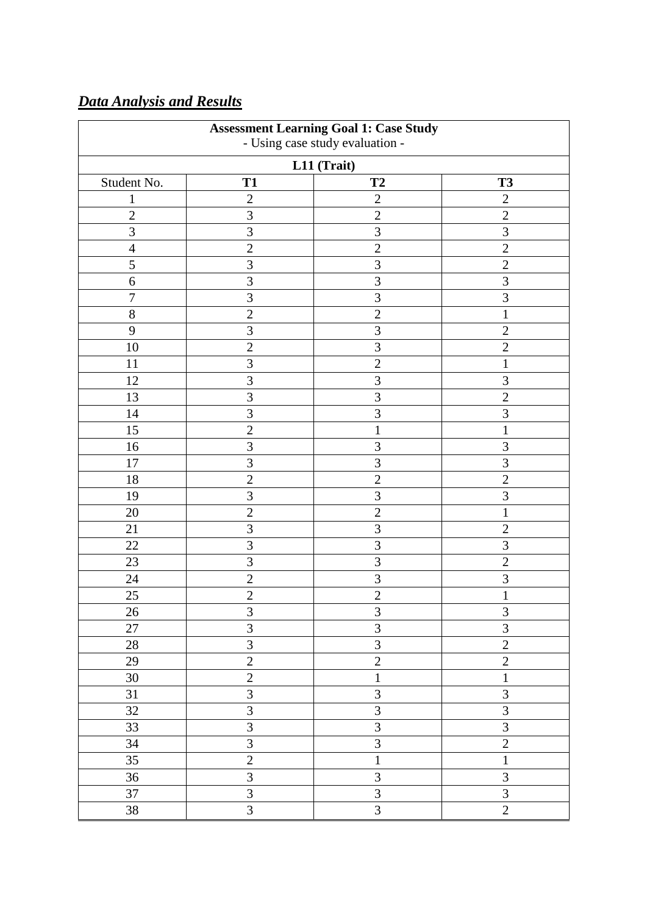| <b>Assessment Learning Goal 1: Case Study</b><br>- Using case study evaluation - |                         |                |                         |
|----------------------------------------------------------------------------------|-------------------------|----------------|-------------------------|
|                                                                                  |                         | L11 (Trait)    |                         |
| Student No.                                                                      | <b>T1</b>               | T2             | <b>T3</b>               |
| $\mathbf{1}$                                                                     | $\mathbf{2}$            | $\overline{2}$ | $\overline{2}$          |
| $\overline{2}$                                                                   | 3                       | $\overline{2}$ | $\overline{2}$          |
| 3                                                                                | $\overline{3}$          | 3              | 3                       |
| $\overline{4}$                                                                   | $\overline{2}$          | $\overline{2}$ | $\overline{2}$          |
| 5                                                                                | 3                       | 3              | $\overline{2}$          |
| 6                                                                                | 3                       | 3              | $\overline{3}$          |
| $\overline{7}$                                                                   | $\overline{3}$          | 3              | $\overline{3}$          |
| 8                                                                                | $\overline{2}$          | $\overline{2}$ | $\mathbf{1}$            |
| 9                                                                                | 3                       | 3              | $\mathbf{2}$            |
| 10                                                                               | $\overline{c}$          | 3              | $\overline{2}$          |
| 11                                                                               | $\overline{3}$          | $\overline{2}$ | $\mathbf{1}$            |
| 12                                                                               | 3                       | 3              | 3                       |
| 13                                                                               | 3                       | 3              | $\overline{2}$          |
| 14                                                                               | $\overline{3}$          | 3              | $\overline{3}$          |
| 15                                                                               | $\overline{2}$          | 1              | $\mathbf{1}$            |
| 16                                                                               | $\overline{3}$          | $\overline{3}$ | $\overline{3}$          |
| 17                                                                               | $\overline{3}$          | 3              | 3                       |
| 18                                                                               | $\overline{2}$          | $\overline{2}$ | $\overline{2}$          |
| 19                                                                               | 3                       | 3              | 3                       |
| 20                                                                               | $\overline{2}$          | $\overline{2}$ | $\mathbf{1}$            |
| 21                                                                               | 3                       | 3              | $\overline{2}$          |
| 22                                                                               | $\overline{3}$          | 3              | $\overline{3}$          |
| 23                                                                               | 3                       | 3              | $\sqrt{2}$              |
| 24                                                                               | $\overline{2}$          | 3              | $\mathfrak{Z}$          |
| $25\,$                                                                           | $\overline{2}$          | $\overline{2}$ | $\mathbf{1}$            |
| $26\,$                                                                           | $\mathfrak{Z}$          | $\mathfrak{Z}$ | $\mathfrak{Z}$          |
| 27                                                                               | $\overline{3}$          | 3              | $\overline{3}$          |
| $28\,$                                                                           | $\overline{3}$          | 3              | $\overline{2}$          |
| 29                                                                               | $\overline{2}$          | $\overline{2}$ | $\overline{2}$          |
| $30\,$                                                                           | $\overline{2}$          | $\mathbf 1$    | $\mathbf{1}$            |
| 31                                                                               | $\overline{3}$          | $\overline{3}$ | $\overline{3}$          |
| $32\,$                                                                           | $\overline{\mathbf{3}}$ | 3              | $\overline{3}$          |
| 33                                                                               | $\overline{3}$          | 3              | 3                       |
| 34                                                                               | $\overline{3}$          | $\overline{3}$ | $\overline{2}$          |
| 35                                                                               | $\overline{2}$          | $\mathbf{1}$   | $\mathbf{1}$            |
| 36                                                                               | $\overline{3}$          | 3              | $\overline{\mathbf{3}}$ |
| 37                                                                               | $\overline{3}$          | $\overline{3}$ | $\overline{3}$          |
| 38                                                                               | $\overline{3}$          | 3              | $\overline{2}$          |

## *Data Analysis and Results*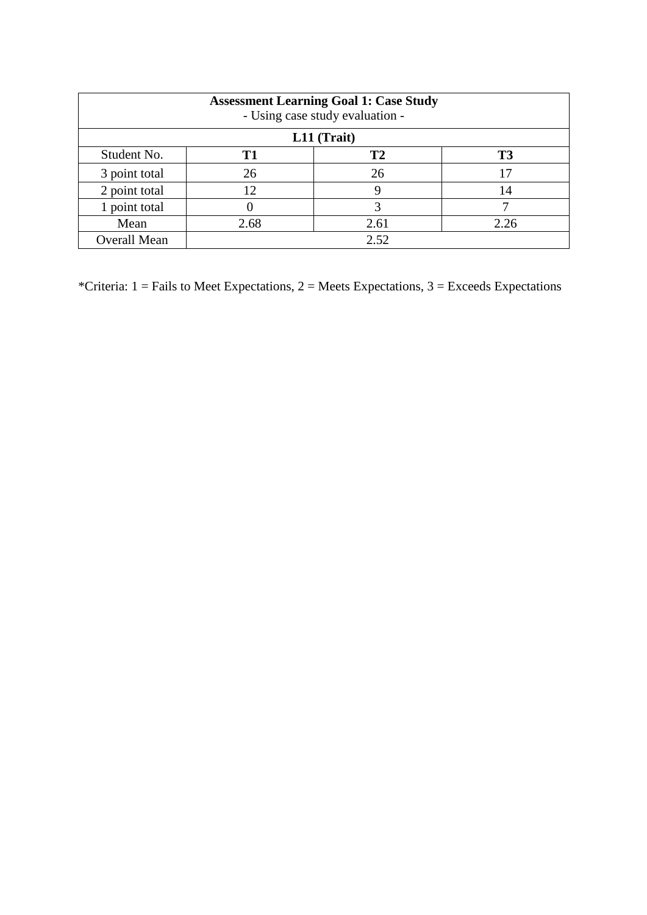| <b>Assessment Learning Goal 1: Case Study</b><br>- Using case study evaluation - |      |           |                |  |
|----------------------------------------------------------------------------------|------|-----------|----------------|--|
| L11 (Trait)                                                                      |      |           |                |  |
| Student No.                                                                      | T1   | <b>T2</b> | T <sub>3</sub> |  |
| 3 point total                                                                    | 26   | 26        |                |  |
| 2 point total                                                                    | 12   |           | 14             |  |
| 1 point total                                                                    |      | 3         |                |  |
| Mean                                                                             | 2.68 | 2.61      | 2.26           |  |
| <b>Overall Mean</b>                                                              |      | 2.52      |                |  |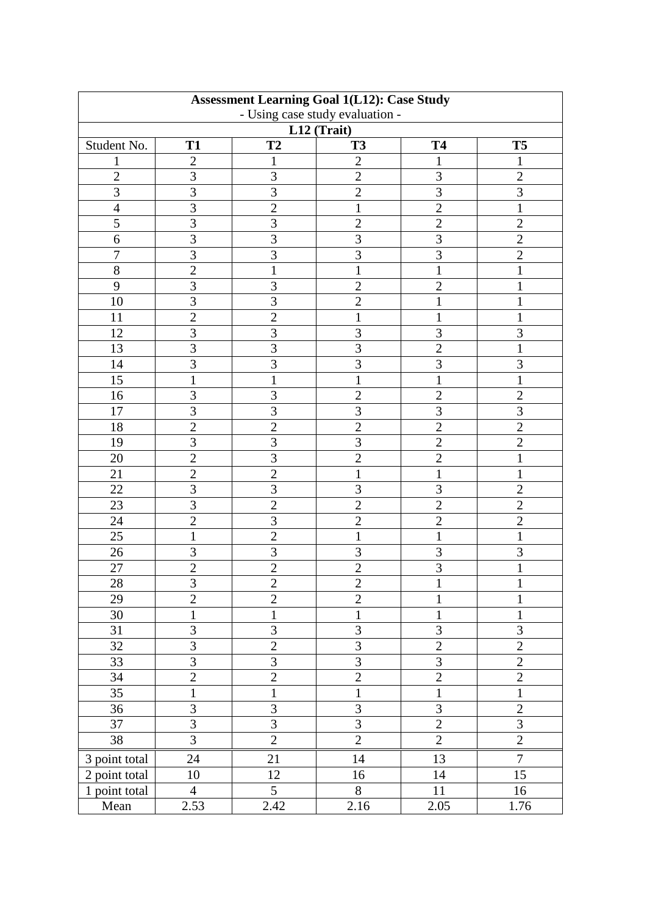| <b>Assessment Learning Goal 1(L12): Case Study</b> |                |                |                                 |                |                         |
|----------------------------------------------------|----------------|----------------|---------------------------------|----------------|-------------------------|
|                                                    |                |                | - Using case study evaluation - |                |                         |
|                                                    |                |                | L12 (Trait)                     |                |                         |
| Student No.                                        | <b>T1</b>      | T <sub>2</sub> | <b>T3</b>                       | <b>T4</b>      | T <sub>5</sub>          |
| 1                                                  | $\overline{2}$ | 1              | $\overline{2}$                  | 1              | 1                       |
| $\overline{2}$                                     | 3              | 3              | $\overline{2}$                  | 3              | $\overline{2}$          |
| 3                                                  | 3              | $\overline{3}$ | $\overline{2}$                  | 3              | $\overline{3}$          |
| $\overline{4}$                                     | 3              | $\overline{2}$ | $\mathbf{1}$                    | $\overline{2}$ | $\mathbf{1}$            |
| 5                                                  | 3              | $\overline{3}$ | $\overline{2}$                  | $\overline{2}$ | $\overline{2}$          |
| 6                                                  | 3              | $\overline{3}$ | 3                               | 3              | $\overline{2}$          |
| $\tau$                                             | 3              | $\overline{3}$ | $\overline{3}$                  | 3              | $\overline{2}$          |
| 8                                                  | $\overline{2}$ | $\mathbf{1}$   | $\mathbf{1}$                    | $\mathbf{1}$   | $\mathbf{1}$            |
| 9                                                  | 3              | $\overline{3}$ | $\overline{2}$                  | $\overline{2}$ | $\mathbf{1}$            |
| 10                                                 | 3              | 3              | $\overline{2}$                  | 1              | $\mathbf{1}$            |
| 11                                                 | $\overline{2}$ | $\overline{2}$ | $\mathbf{1}$                    | $\mathbf{1}$   | $\mathbf{1}$            |
| 12                                                 | 3              | $\overline{3}$ | 3                               | 3              | 3                       |
| 13                                                 | 3              | $\overline{3}$ | $\overline{3}$                  | $\overline{2}$ | $\mathbf{1}$            |
| 14                                                 | 3              | $\overline{3}$ | $\overline{3}$                  | 3              | $\overline{3}$          |
| 15                                                 | $\mathbf{1}$   | $\mathbf{1}$   | 1                               | $\mathbf{1}$   | $\mathbf 1$             |
| 16                                                 | 3              | 3              | $\overline{2}$                  | $\overline{2}$ | $\overline{2}$          |
| 17                                                 | 3              | $\overline{3}$ | $\overline{3}$                  | 3              | 3                       |
| 18                                                 | $\overline{2}$ | $\overline{2}$ | $\overline{2}$                  | $\overline{2}$ | $\overline{2}$          |
| 19                                                 | 3              | $\overline{3}$ | $\overline{3}$                  | $\overline{2}$ | $\overline{2}$          |
| 20                                                 | $\overline{2}$ | 3              | $\overline{2}$                  | $\mathbf{2}$   | $\mathbf{1}$            |
| 21                                                 | $\overline{2}$ | $\overline{2}$ | $\mathbf{1}$                    | $\mathbf{1}$   | $\mathbf{1}$            |
| 22                                                 | $\overline{3}$ | $\overline{3}$ | 3                               | 3              | $\overline{2}$          |
| 23                                                 | 3              | $\overline{2}$ | $\overline{2}$                  | $\overline{2}$ | $\overline{2}$          |
| 24                                                 | $\overline{2}$ | $\overline{3}$ | $\overline{2}$                  | $\overline{2}$ | $\overline{2}$          |
| 25                                                 | $\mathbf{1}$   | $\overline{2}$ | $\mathbf{1}$                    | 1              | $\mathbf{1}$            |
| 26                                                 | 3              | $\mathfrak{Z}$ | 3                               | $\mathfrak{Z}$ | 3                       |
| 27                                                 | $\overline{2}$ | $\overline{2}$ | $\overline{2}$                  | 3              | $\mathbf{1}$            |
| 28                                                 | 3              | $\overline{2}$ | $\overline{2}$                  | $\mathbf{1}$   | $\mathbf 1$             |
| 29                                                 | $\overline{2}$ | $\overline{2}$ | $\overline{2}$                  | $\mathbf{1}$   | $\mathbf{1}$            |
| 30                                                 | $\mathbf{1}$   | $\mathbf{1}$   | $\mathbf{1}$                    | 1              | $\mathbf{1}$            |
| 31                                                 | 3              | 3              | 3                               | $\mathfrak{Z}$ | $\mathfrak{Z}$          |
| 32                                                 | 3              | $\overline{2}$ | $\overline{3}$                  | $\overline{2}$ | $\overline{2}$          |
| 33                                                 | 3              | $\overline{3}$ | $\overline{3}$                  | 3              | $\overline{2}$          |
| 34                                                 | $\overline{2}$ | $\overline{c}$ | $\overline{2}$                  | $\sqrt{2}$     | $\overline{2}$          |
| 35                                                 | $\mathbf{1}$   | $\mathbf{1}$   | $\mathbf{1}$                    | $\mathbf{1}$   | $\mathbf{1}$            |
| 36                                                 | 3              | 3              | 3                               | 3              | $\sqrt{2}$              |
| 37                                                 | 3              | $\overline{3}$ | $\overline{3}$                  | $\overline{2}$ | $\overline{\mathbf{3}}$ |
| 38                                                 | 3              | $\overline{2}$ | $\overline{2}$                  | $\overline{2}$ | $\overline{2}$          |
|                                                    | 24             | 21             | 14                              | 13             | $\overline{7}$          |
| 3 point total                                      |                |                |                                 |                | 15                      |
| 2 point total                                      | 10             | 12<br>5        | 16                              | 14             |                         |
| 1 point total                                      | $\overline{4}$ |                | 8                               | 11             | 16                      |
| Mean                                               | 2.53           | 2.42           | 2.16                            | 2.05           | 1.76                    |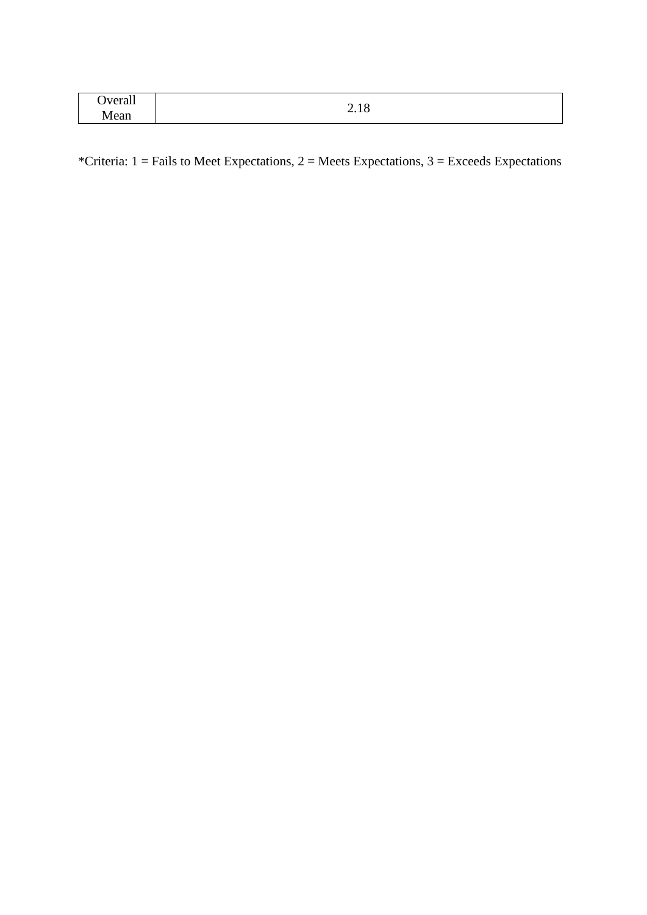| Overall | 1 O<br>$\sim$ |
|---------|---------------|
| Mean    | 2.10          |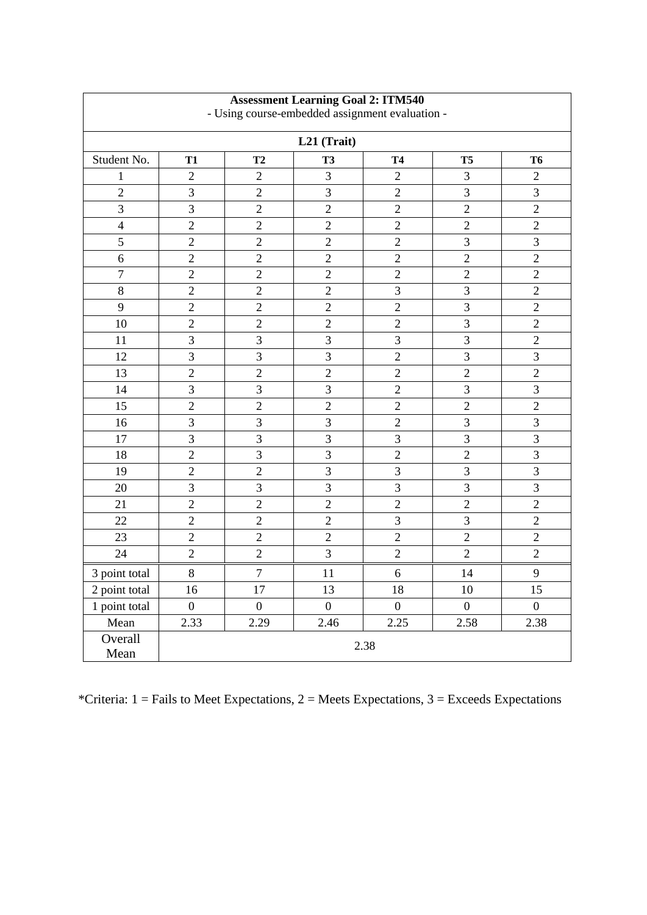| <b>Assessment Learning Goal 2: ITM540</b><br>- Using course-embedded assignment evaluation - |                  |                  |                  |                         |                  |                  |
|----------------------------------------------------------------------------------------------|------------------|------------------|------------------|-------------------------|------------------|------------------|
|                                                                                              |                  |                  | L21 (Trait)      |                         |                  |                  |
| Student No.                                                                                  | <b>T1</b>        | T <sub>2</sub>   | <b>T3</b>        | <b>T4</b>               | T <sub>5</sub>   | <b>T6</b>        |
| 1                                                                                            | $\overline{2}$   | $\overline{2}$   | 3                | $\mathbf{2}$            | 3                | $\overline{2}$   |
| $\overline{2}$                                                                               | 3                | $\overline{2}$   | 3                | $\overline{2}$          | 3                | 3                |
| 3                                                                                            | 3                | $\overline{2}$   | $\sqrt{2}$       | $\overline{2}$          | $\overline{2}$   | $\overline{2}$   |
| $\overline{\mathbf{4}}$                                                                      | $\overline{2}$   | $\overline{2}$   | $\overline{2}$   | $\overline{2}$          | $\overline{2}$   | $\sqrt{2}$       |
| 5                                                                                            | $\mathbf{2}$     | $\overline{2}$   | $\overline{2}$   | $\overline{2}$          | 3                | $\mathfrak{Z}$   |
| 6                                                                                            | $\mathbf{2}$     | $\overline{2}$   | $\sqrt{2}$       | $\overline{2}$          | $\overline{2}$   | $\mathbf{2}$     |
| $\overline{7}$                                                                               | $\mathbf{2}$     | $\overline{2}$   | $\overline{2}$   | $\overline{2}$          | $\overline{2}$   | $\overline{2}$   |
| 8                                                                                            | $\overline{2}$   | $\overline{2}$   | $\sqrt{2}$       | 3                       | 3                | $\mathbf{2}$     |
| 9                                                                                            | $\overline{2}$   | $\overline{2}$   | $\overline{2}$   | $\overline{2}$          | $\mathfrak{Z}$   | $\overline{2}$   |
| 10                                                                                           | $\mathbf{2}$     | $\sqrt{2}$       | $\sqrt{2}$       | $\overline{2}$          | $\mathfrak{Z}$   | $\overline{2}$   |
| 11                                                                                           | 3                | 3                | 3                | $\overline{3}$          | 3                | $\overline{2}$   |
| 12                                                                                           | 3                | $\overline{3}$   | 3                | $\overline{2}$          | 3                | 3                |
| 13                                                                                           | $\overline{2}$   | $\overline{2}$   | $\overline{2}$   | $\overline{2}$          | $\overline{2}$   | $\overline{2}$   |
| 14                                                                                           | 3                | $\mathfrak{Z}$   | $\mathfrak{Z}$   | $\sqrt{2}$              | $\mathfrak{Z}$   | 3                |
| 15                                                                                           | $\overline{2}$   | $\overline{2}$   | $\overline{2}$   | $\overline{2}$          | $\overline{2}$   | $\overline{2}$   |
| 16                                                                                           | 3                | $\overline{3}$   | 3                | $\overline{2}$          | 3                | 3                |
| 17                                                                                           | 3                | 3                | 3                | 3                       | 3                | 3                |
| 18                                                                                           | $\overline{2}$   | 3                | 3                | $\overline{2}$          | $\overline{2}$   | 3                |
| 19                                                                                           | $\overline{2}$   | $\overline{2}$   | 3                | 3                       | 3                | 3                |
| 20                                                                                           | 3                | 3                | 3                | 3                       | 3                | $\mathfrak{Z}$   |
| 21                                                                                           | $\mathbf{2}$     | $\mathfrak{2}$   | $\mathbf{2}$     | $\overline{c}$          | $\mathfrak{2}$   | $\sqrt{2}$       |
| 22                                                                                           | $\overline{2}$   | $\overline{c}$   | $\overline{2}$   | $\overline{\mathbf{3}}$ | 3                | $\overline{2}$   |
| 23                                                                                           | $\overline{2}$   | $\overline{c}$   | $\overline{2}$   | $\overline{2}$          | $\overline{2}$   | $\overline{2}$   |
| 24                                                                                           | $\overline{c}$   | $\overline{2}$   | $\overline{3}$   | $\overline{c}$          | $\overline{2}$   | $\overline{2}$   |
| 3 point total                                                                                | $8\,$            | $\overline{7}$   | 11               | 6                       | 14               | 9                |
| 2 point total                                                                                | 16               | 17               | 13               | 18                      | 10               | 15               |
| 1 point total                                                                                | $\boldsymbol{0}$ | $\boldsymbol{0}$ | $\boldsymbol{0}$ | $\boldsymbol{0}$        | $\boldsymbol{0}$ | $\boldsymbol{0}$ |
| Mean                                                                                         | 2.33             | 2.29             | 2.46             | 2.25                    | 2.58             | 2.38             |
| Overall<br>Mean                                                                              |                  |                  |                  | 2.38                    |                  |                  |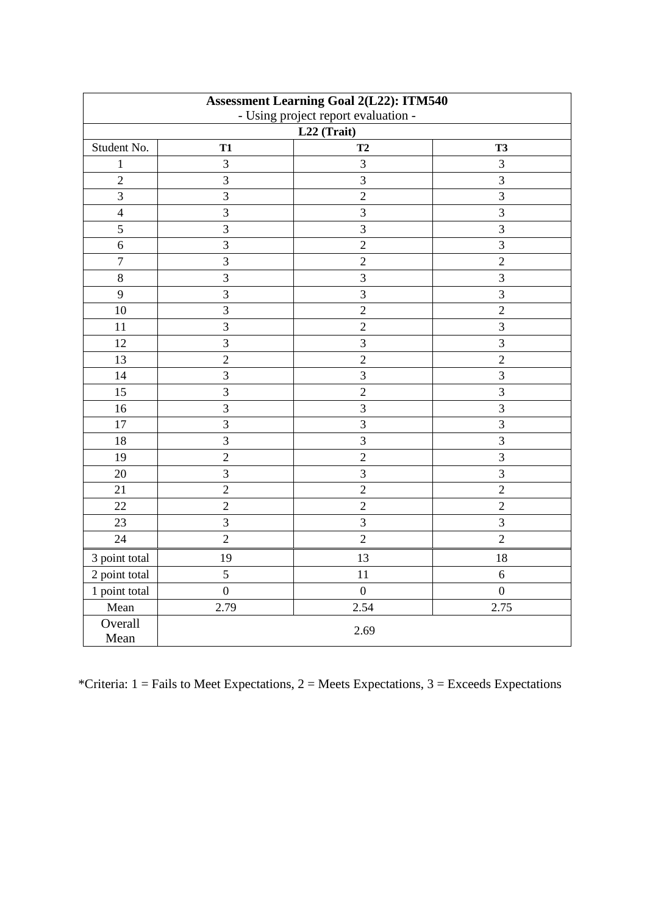| <b>Assessment Learning Goal 2(L22): ITM540</b><br>- Using project report evaluation - |                         |                |                |
|---------------------------------------------------------------------------------------|-------------------------|----------------|----------------|
|                                                                                       |                         | L22 (Trait)    |                |
| Student No.                                                                           | <b>T1</b>               | T <sub>2</sub> | <b>T3</b>      |
| $\mathbf{1}$                                                                          | 3                       | $\overline{3}$ | 3              |
| $\overline{2}$                                                                        | $\overline{3}$          | 3              | $\overline{3}$ |
| $\overline{\mathbf{3}}$                                                               | $\overline{\mathbf{3}}$ | $\overline{2}$ | $\overline{3}$ |
| $\overline{4}$                                                                        | $\overline{3}$          | $\mathfrak{Z}$ | $\overline{3}$ |
| 5                                                                                     | 3                       | 3              | $\overline{3}$ |
| 6                                                                                     | 3                       | $\overline{2}$ | 3              |
| $\overline{7}$                                                                        | $\overline{3}$          | $\overline{2}$ | $\overline{2}$ |
| $8\,$                                                                                 | 3                       | 3              | $\overline{3}$ |
| 9                                                                                     | 3                       | $\overline{3}$ | $\overline{3}$ |
| 10                                                                                    | 3                       | $\overline{2}$ | $\overline{2}$ |
| 11                                                                                    | 3                       | $\overline{2}$ | 3              |
| 12                                                                                    | 3                       | 3              | $\mathfrak{Z}$ |
| 13                                                                                    | $\overline{c}$          | $\sqrt{2}$     | $\sqrt{2}$     |
| 14                                                                                    | 3                       | 3              | $\overline{3}$ |
| 15                                                                                    | $\overline{3}$          | $\overline{2}$ | $\overline{3}$ |
| 16                                                                                    | 3                       | $\overline{3}$ | $\overline{3}$ |
| 17                                                                                    | $\overline{3}$          | $\overline{3}$ | 3              |
| 18                                                                                    | $\overline{3}$          | $\overline{3}$ | $\overline{3}$ |
| 19                                                                                    | $\overline{2}$          | $\overline{2}$ | $\overline{3}$ |
| 20                                                                                    | $\overline{3}$          | 3              | $\overline{3}$ |
| 21                                                                                    | $\overline{2}$          | $\overline{2}$ | $\overline{2}$ |
| 22                                                                                    | $\overline{2}$          | $\overline{2}$ | $\overline{2}$ |
| 23                                                                                    | $\overline{3}$          | $\overline{3}$ | 3              |
| 24                                                                                    | $\overline{2}$          | $\overline{2}$ | $\overline{2}$ |
| 3 point total                                                                         | 19                      | 13             | 18             |
| 2 point total                                                                         | 5                       | 11             | $6\,$          |
| $\frac{1}{1}$ point total                                                             | $\overline{0}$          | $\overline{0}$ | $\overline{0}$ |
| Mean                                                                                  | 2.79                    | 2.54           | 2.75           |
| Overall<br>Mean                                                                       |                         | 2.69           |                |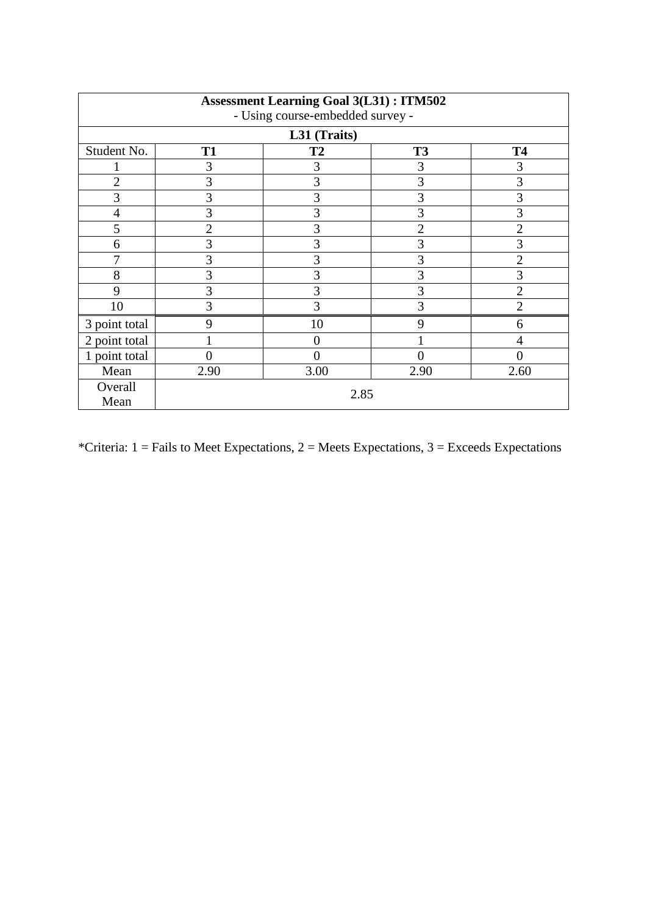| <b>Assessment Learning Goal 3(L31): ITM502</b> |                                  |                |                |                |  |  |
|------------------------------------------------|----------------------------------|----------------|----------------|----------------|--|--|
|                                                | - Using course-embedded survey - |                |                |                |  |  |
|                                                |                                  | L31 (Traits)   |                |                |  |  |
| Student No.                                    | <b>T1</b>                        | <b>T2</b>      | <b>T3</b>      | <b>T4</b>      |  |  |
|                                                | 3                                | 3              | 3              | 3              |  |  |
| $\overline{2}$                                 | 3                                | 3              | 3              | 3              |  |  |
| 3                                              | 3                                | 3              | 3              | 3              |  |  |
| 4                                              | 3                                | 3              | 3              | 3              |  |  |
| 5                                              | 2                                | 3              | $\overline{2}$ | $\overline{2}$ |  |  |
| 6                                              | 3                                | 3              | 3              | 3              |  |  |
|                                                | 3                                | 3              | 3              | 2              |  |  |
| 8                                              | 3                                | 3              | 3              | 3              |  |  |
| 9                                              | 3                                | 3              | 3              | $\overline{2}$ |  |  |
| 10                                             | 3                                | 3              | 3              | $\overline{2}$ |  |  |
| 3 point total                                  | 9                                | 10             | 9              | 6              |  |  |
| 2 point total                                  |                                  | $\theta$       |                | 4              |  |  |
| 1 point total                                  | 0                                | $\overline{0}$ | 0              | 0              |  |  |
| Mean                                           | 2.90                             | 3.00           | 2.90           | 2.60           |  |  |
| Overall<br>Mean                                |                                  | 2.85           |                |                |  |  |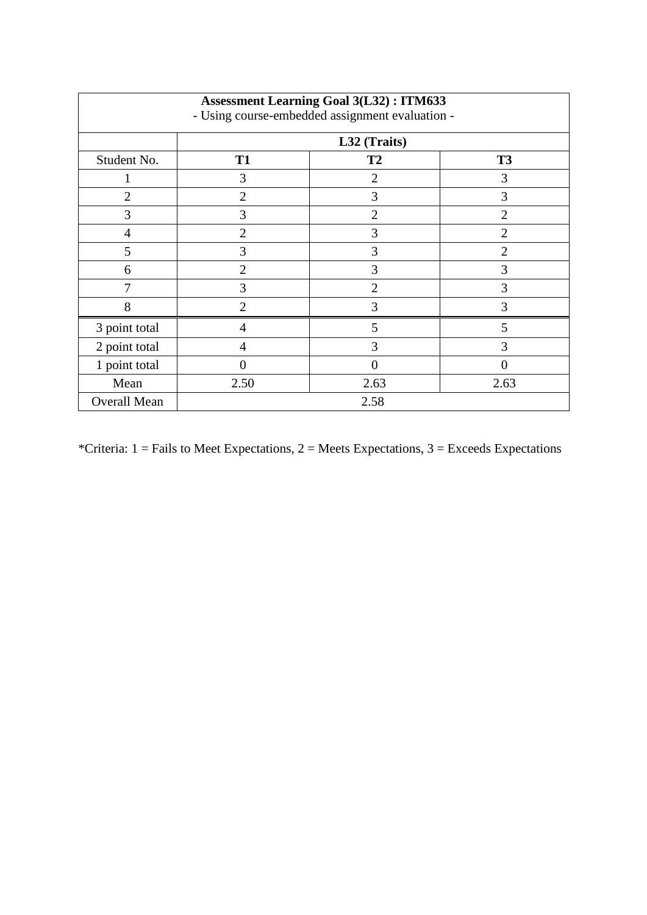| <b>Assessment Learning Goal 3(L32): ITM633</b><br>- Using course-embedded assignment evaluation - |                |                |                |  |  |  |  |
|---------------------------------------------------------------------------------------------------|----------------|----------------|----------------|--|--|--|--|
|                                                                                                   | L32 (Traits)   |                |                |  |  |  |  |
| Student No.                                                                                       | <b>T1</b>      | <b>T2</b>      | <b>T3</b>      |  |  |  |  |
|                                                                                                   | 3              | $\overline{2}$ | 3              |  |  |  |  |
| $\overline{2}$                                                                                    | $\overline{2}$ | 3              | 3              |  |  |  |  |
| 3                                                                                                 | 3              | $\overline{2}$ | $\overline{2}$ |  |  |  |  |
| 4                                                                                                 | $\overline{2}$ | 3              | $\overline{2}$ |  |  |  |  |
| 5                                                                                                 | 3              | 3              | $\overline{2}$ |  |  |  |  |
| 6                                                                                                 | $\overline{2}$ | 3              | 3              |  |  |  |  |
| 7                                                                                                 | 3              | $\overline{2}$ | 3              |  |  |  |  |
| 8                                                                                                 | $\overline{2}$ | 3              | 3              |  |  |  |  |
| 3 point total                                                                                     | 4              | 5              | 5              |  |  |  |  |
| 2 point total                                                                                     | 4              | 3              | 3              |  |  |  |  |
| 1 point total                                                                                     | 0              | 0              | $\Omega$       |  |  |  |  |
| Mean                                                                                              | 2.50           | 2.63           | 2.63           |  |  |  |  |
| <b>Overall Mean</b>                                                                               | 2.58           |                |                |  |  |  |  |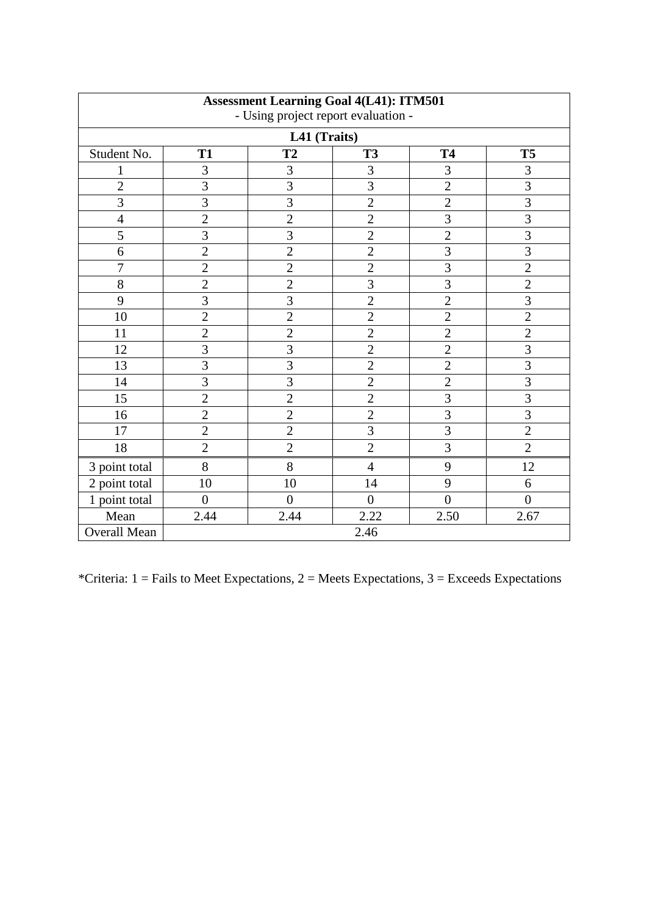| <b>Assessment Learning Goal 4(L41): ITM501</b><br>- Using project report evaluation - |                |                |                |                         |                |  |  |
|---------------------------------------------------------------------------------------|----------------|----------------|----------------|-------------------------|----------------|--|--|
| L41 (Traits)                                                                          |                |                |                |                         |                |  |  |
| Student No.                                                                           | <b>T1</b>      | <b>T2</b>      | <b>T3</b>      | <b>T4</b>               | <b>T5</b>      |  |  |
| $\mathbf{1}$                                                                          | 3              | 3              | 3              | $\mathfrak{Z}$          | 3              |  |  |
| $\overline{2}$                                                                        | $\overline{3}$ | $\overline{3}$ | 3              | $\overline{2}$          | $\overline{3}$ |  |  |
| $\overline{3}$                                                                        | $\overline{3}$ | $\overline{3}$ | $\overline{2}$ | $\overline{2}$          | $\overline{3}$ |  |  |
| $\overline{4}$                                                                        | $\overline{2}$ | $\overline{2}$ | $\overline{c}$ | $\overline{3}$          | $\overline{3}$ |  |  |
| 5                                                                                     | $\overline{3}$ | $\overline{3}$ | $\overline{2}$ | $\overline{2}$          | $\overline{3}$ |  |  |
| 6                                                                                     | $\overline{2}$ | $\overline{2}$ | $\overline{2}$ | $\overline{3}$          | $\overline{3}$ |  |  |
| $\overline{7}$                                                                        | $\overline{2}$ | $\overline{2}$ | $\overline{c}$ | $\overline{3}$          | $\overline{2}$ |  |  |
| 8                                                                                     | $\overline{2}$ | $\overline{2}$ | $\overline{3}$ | $\overline{3}$          | $\overline{2}$ |  |  |
| 9                                                                                     | $\overline{3}$ | $\overline{3}$ | $\overline{2}$ | $\overline{2}$          | $\overline{3}$ |  |  |
| 10                                                                                    | $\overline{c}$ | $\overline{c}$ | $\overline{c}$ | $\overline{2}$          | $\overline{c}$ |  |  |
| 11                                                                                    | $\overline{2}$ | $\overline{2}$ | $\overline{c}$ | $\overline{c}$          | $\overline{c}$ |  |  |
| 12                                                                                    | $\overline{3}$ | $\overline{3}$ | $\overline{2}$ | $\overline{2}$          | $\overline{3}$ |  |  |
| 13                                                                                    | $\overline{3}$ | $\overline{3}$ | $\overline{2}$ | $\overline{2}$          | $\overline{3}$ |  |  |
| 14                                                                                    | $\overline{3}$ | $\overline{3}$ | $\overline{2}$ | $\overline{2}$          | $\overline{3}$ |  |  |
| 15                                                                                    | $\overline{2}$ | $\overline{2}$ | $\overline{2}$ | $\overline{3}$          | $\overline{3}$ |  |  |
| 16                                                                                    | $\overline{2}$ | $\overline{2}$ | $\overline{c}$ | $\overline{\mathbf{3}}$ | $\overline{3}$ |  |  |
| 17                                                                                    | $\overline{2}$ | $\overline{2}$ | $\overline{3}$ | $\overline{3}$          | $\overline{2}$ |  |  |
| 18                                                                                    | $\overline{2}$ | $\overline{2}$ | $\overline{2}$ | $\overline{3}$          | $\overline{2}$ |  |  |
| 3 point total                                                                         | 8              | 8              | $\overline{4}$ | 9                       | 12             |  |  |
| 2 point total                                                                         | 10             | 10             | 14             | 9                       | 6              |  |  |
| 1 point total                                                                         | $\overline{0}$ | $\overline{0}$ | $\overline{0}$ | $\overline{0}$          | $\overline{0}$ |  |  |
| Mean                                                                                  | 2.44           | 2.44           | 2.22           | 2.50                    | 2.67           |  |  |
| Overall Mean                                                                          | 2.46           |                |                |                         |                |  |  |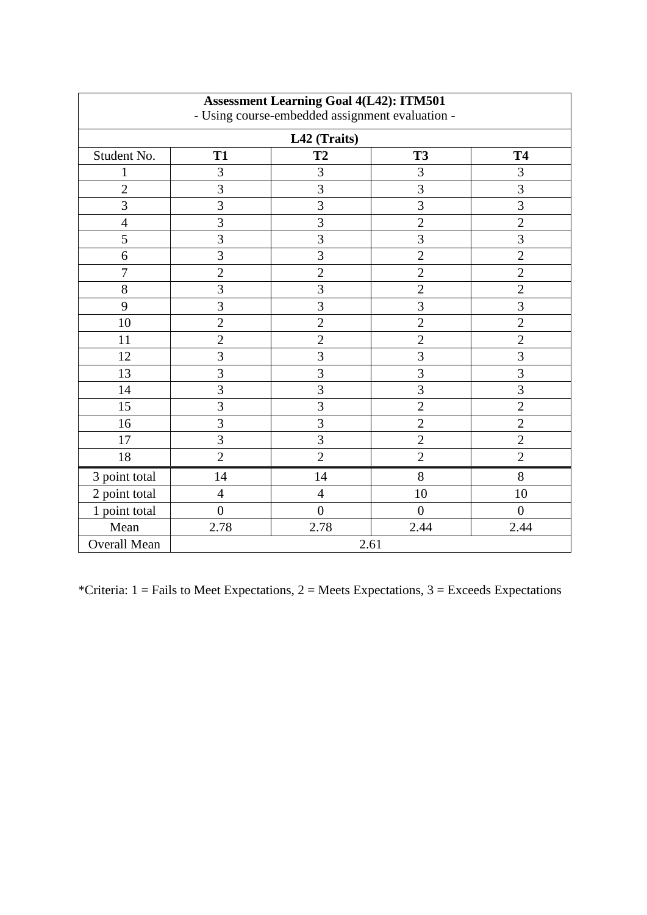| <b>Assessment Learning Goal 4(L42): ITM501</b><br>- Using course-embedded assignment evaluation - |                |                |                |                |  |  |  |
|---------------------------------------------------------------------------------------------------|----------------|----------------|----------------|----------------|--|--|--|
| L42 (Traits)                                                                                      |                |                |                |                |  |  |  |
| Student No.                                                                                       | <b>T1</b>      | <b>T2</b>      | <b>T3</b>      | <b>T4</b>      |  |  |  |
| 1                                                                                                 | 3              | 3              | 3              | 3              |  |  |  |
| $\overline{2}$                                                                                    | 3              | 3              | 3              | $\overline{3}$ |  |  |  |
| $\overline{3}$                                                                                    | $\overline{3}$ | 3              | 3              | $\overline{3}$ |  |  |  |
| $\overline{4}$                                                                                    | $\overline{3}$ | $\overline{3}$ | $\overline{c}$ | $\overline{2}$ |  |  |  |
| 5                                                                                                 | 3              | 3              | 3              | 3              |  |  |  |
| 6                                                                                                 | 3              | 3              | $\overline{2}$ | $\overline{2}$ |  |  |  |
| $\overline{7}$                                                                                    | $\overline{2}$ | $\overline{2}$ | $\overline{2}$ | $\overline{2}$ |  |  |  |
| 8                                                                                                 | 3              | $\overline{3}$ | $\overline{2}$ | $\overline{2}$ |  |  |  |
| 9                                                                                                 | 3              | 3              | 3              | 3              |  |  |  |
| 10                                                                                                | $\overline{2}$ | $\overline{2}$ | $\overline{c}$ | $\overline{2}$ |  |  |  |
| 11                                                                                                | $\overline{2}$ | $\overline{2}$ | $\overline{c}$ | $\overline{2}$ |  |  |  |
| 12                                                                                                | $\overline{3}$ | 3              | $\overline{3}$ | 3              |  |  |  |
| 13                                                                                                | $\overline{3}$ | 3              | 3              | 3              |  |  |  |
| 14                                                                                                | 3              | 3              | 3              | $\overline{3}$ |  |  |  |
| 15                                                                                                | 3              | $\overline{3}$ | $\overline{2}$ | $\overline{2}$ |  |  |  |
| 16                                                                                                | 3              | 3              | $\overline{2}$ | $\overline{2}$ |  |  |  |
| 17                                                                                                | 3              | 3              | $\overline{2}$ | $\overline{2}$ |  |  |  |
| 18                                                                                                | $\overline{2}$ | $\overline{2}$ | $\overline{2}$ | $\overline{2}$ |  |  |  |
| 3 point total                                                                                     | 14             | 14             | 8              | 8              |  |  |  |
| 2 point total                                                                                     | $\overline{4}$ | $\overline{4}$ | 10             | 10             |  |  |  |
| 1 point total                                                                                     | $\overline{0}$ | $\overline{0}$ | $\overline{0}$ | $\overline{0}$ |  |  |  |
| Mean                                                                                              | 2.78           | 2.78           | 2.44           | 2.44           |  |  |  |
| <b>Overall Mean</b>                                                                               | 2.61           |                |                |                |  |  |  |

Ē.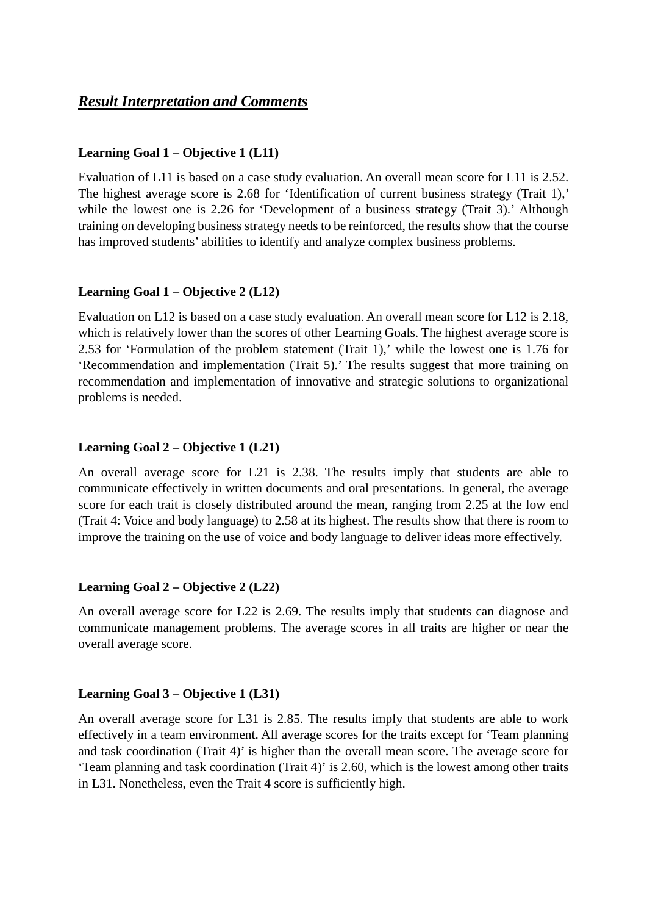## *Result Interpretation and Comments*

#### **Learning Goal 1 – Objective 1 (L11)**

Evaluation of L11 is based on a case study evaluation. An overall mean score for L11 is 2.52. The highest average score is 2.68 for 'Identification of current business strategy (Trait 1),' while the lowest one is 2.26 for 'Development of a business strategy (Trait 3).' Although training on developing business strategy needs to be reinforced, the results show that the course has improved students' abilities to identify and analyze complex business problems.

#### **Learning Goal 1 – Objective 2 (L12)**

Evaluation on L12 is based on a case study evaluation. An overall mean score for L12 is 2.18, which is relatively lower than the scores of other Learning Goals. The highest average score is 2.53 for 'Formulation of the problem statement (Trait 1),' while the lowest one is 1.76 for 'Recommendation and implementation (Trait 5).' The results suggest that more training on recommendation and implementation of innovative and strategic solutions to organizational problems is needed.

#### **Learning Goal 2 – Objective 1 (L21)**

An overall average score for L21 is 2.38. The results imply that students are able to communicate effectively in written documents and oral presentations. In general, the average score for each trait is closely distributed around the mean, ranging from 2.25 at the low end (Trait 4: Voice and body language) to 2.58 at its highest. The results show that there is room to improve the training on the use of voice and body language to deliver ideas more effectively.

#### **Learning Goal 2 – Objective 2 (L22)**

An overall average score for L22 is 2.69. The results imply that students can diagnose and communicate management problems. The average scores in all traits are higher or near the overall average score.

#### **Learning Goal 3 – Objective 1 (L31)**

An overall average score for L31 is 2.85. The results imply that students are able to work effectively in a team environment. All average scores for the traits except for 'Team planning and task coordination (Trait 4)' is higher than the overall mean score. The average score for 'Team planning and task coordination (Trait 4)' is 2.60, which is the lowest among other traits in L31. Nonetheless, even the Trait 4 score is sufficiently high.